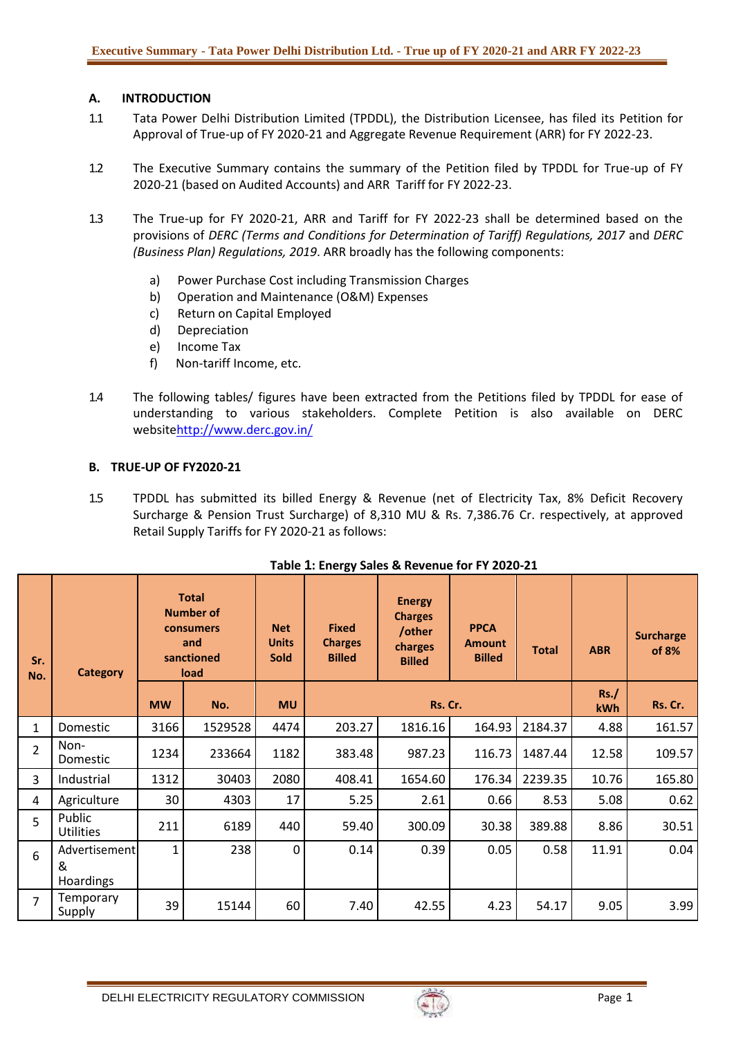## **A. INTRODUCTION**

- 1.1 Tata Power Delhi Distribution Limited (TPDDL), the Distribution Licensee, has filed its Petition for Approval of True-up of FY 2020-21 and Aggregate Revenue Requirement (ARR) for FY 2022-23.
- 1.2 The Executive Summary contains the summary of the Petition filed by TPDDL for True-up of FY 2020-21 (based on Audited Accounts) and ARR Tariff for FY 2022-23.
- 1.3 The True-up for FY 2020-21, ARR and Tariff for FY 2022-23 shall be determined based on the provisions of *DERC (Terms and Conditions for Determination of Tariff) Regulations, 2017* and *DERC (Business Plan) Regulations, 2019*. ARR broadly has the following components:
	- a) Power Purchase Cost including Transmission Charges
	- b) Operation and Maintenance (O&M) Expenses
	- c) Return on Capital Employed
	- d) Depreciation
	- e) Income Tax
	- f) Non-tariff Income, etc.
- 1.4 The following tables/ figures have been extracted from the Petitions filed by TPDDL for ease of understanding to various stakeholders. Complete Petition is also available on DERC websit[ehttp://www.derc.gov.in/](http://www.derc.gov.in/)

## **B. TRUE-UP OF FY2020-21**

1.5 TPDDL has submitted its billed Energy & Revenue (net of Electricity Tax, 8% Deficit Recovery Surcharge & Pension Trust Surcharge) of 8,310 MU & Rs. 7,386.76 Cr. respectively, at approved Retail Supply Tariffs for FY 2020-21 as follows:

| Sr.<br>No.     | <b>Category</b>                        |           | <b>Total</b><br><b>Number of</b><br>consumers<br>and<br>sanctioned<br>load | <b>Net</b><br><b>Units</b><br><b>Sold</b> | <b>Fixed</b><br><b>Charges</b><br><b>Billed</b> | <b>Energy</b><br><b>Charges</b><br>/other<br>charges<br><b>Billed</b> | <b>PPCA</b><br><b>Amount</b><br><b>Billed</b> | <b>Total</b> | <b>ABR</b> | <b>Surcharge</b><br>of 8% |
|----------------|----------------------------------------|-----------|----------------------------------------------------------------------------|-------------------------------------------|-------------------------------------------------|-----------------------------------------------------------------------|-----------------------------------------------|--------------|------------|---------------------------|
|                |                                        | <b>MW</b> | No.                                                                        | <b>MU</b>                                 |                                                 | Rs. Cr.                                                               | Rs.<br>kWh                                    | Rs. Cr.      |            |                           |
| $\mathbf{1}$   | Domestic                               | 3166      | 1529528                                                                    | 4474                                      | 203.27                                          | 1816.16                                                               | 164.93                                        | 2184.37      | 4.88       | 161.57                    |
| $\overline{2}$ | Non-<br><b>Domestic</b>                | 1234      | 233664                                                                     | 1182                                      | 383.48                                          | 987.23                                                                | 116.73                                        | 1487.44      | 12.58      | 109.57                    |
| 3              | Industrial                             | 1312      | 30403                                                                      | 2080                                      | 408.41                                          | 1654.60                                                               | 176.34                                        | 2239.35      | 10.76      | 165.80                    |
| 4              | Agriculture                            | 30        | 4303                                                                       | 17                                        | 5.25                                            | 2.61                                                                  | 0.66                                          | 8.53         | 5.08       | 0.62                      |
| 5              | Public<br><b>Utilities</b>             | 211       | 6189                                                                       | 440                                       | 59.40                                           | 300.09                                                                | 30.38                                         | 389.88       | 8.86       | 30.51                     |
| 6              | Advertisement<br>&<br><b>Hoardings</b> | 1         | 238                                                                        | $\mathbf 0$                               | 0.14                                            | 0.39                                                                  | 0.05                                          | 0.58         | 11.91      | 0.04                      |
| $\overline{7}$ | Temporary<br>Supply                    | 39        | 15144                                                                      | 60                                        | 7.40                                            | 42.55                                                                 | 4.23                                          | 54.17        | 9.05       | 3.99                      |

#### **Table 1: Energy Sales & Revenue for FY 2020-21**

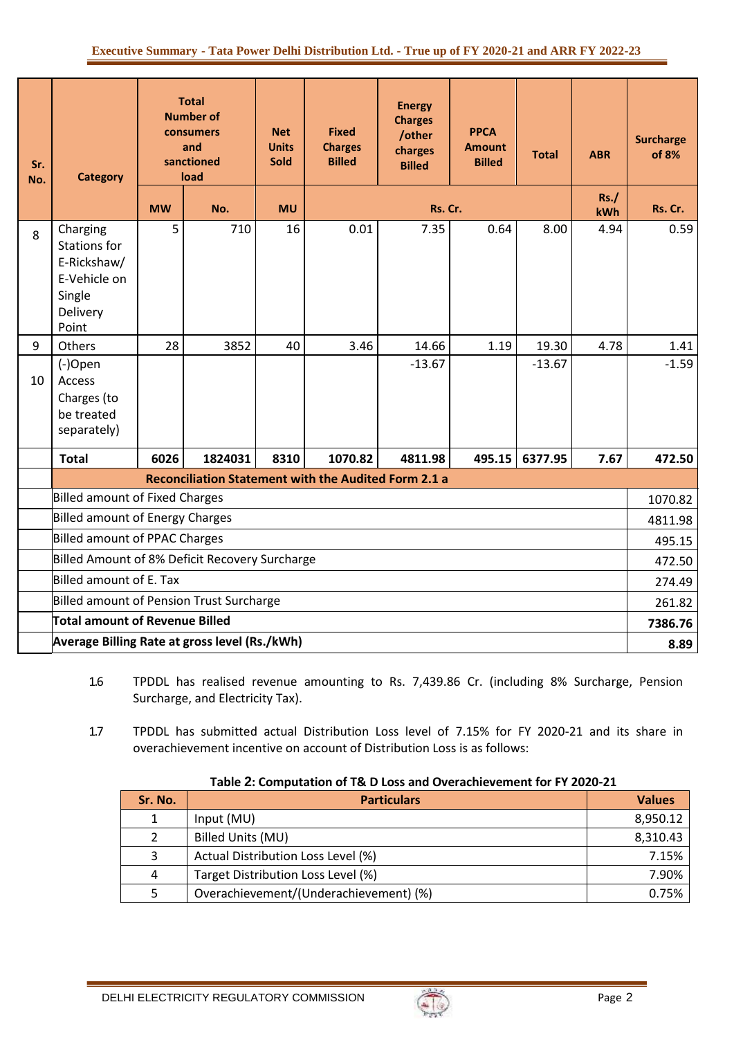| Sr.<br>No. | <b>Category</b>                                                                               |           | <b>Total</b><br><b>Number of</b><br>consumers<br>and<br>sanctioned<br>load | <b>Net</b><br><b>Units</b><br><b>Sold</b> | <b>Fixed</b><br><b>Charges</b><br><b>Billed</b> | <b>Energy</b><br><b>Charges</b><br>/other<br>charges<br><b>Billed</b> | <b>PPCA</b><br><b>Amount</b><br><b>Billed</b> | <b>Total</b> | <b>ABR</b> | <b>Surcharge</b><br>of 8% |
|------------|-----------------------------------------------------------------------------------------------|-----------|----------------------------------------------------------------------------|-------------------------------------------|-------------------------------------------------|-----------------------------------------------------------------------|-----------------------------------------------|--------------|------------|---------------------------|
|            |                                                                                               | <b>MW</b> | No.                                                                        | <b>MU</b>                                 |                                                 | Rs. Cr.                                                               |                                               |              | Rs.<br>kWh | Rs. Cr.                   |
| 8          | Charging<br><b>Stations for</b><br>E-Rickshaw/<br>E-Vehicle on<br>Single<br>Delivery<br>Point | 5         | 710                                                                        | 16                                        | 0.01                                            | 7.35                                                                  | 0.64                                          | 8.00         | 4.94       | 0.59                      |
| 9          | Others                                                                                        | 28        | 3852                                                                       | 40                                        | 3.46                                            | 14.66                                                                 | 1.19                                          | 19.30        | 4.78       | 1.41                      |
| 10         | (-)Open<br>Access<br>Charges (to<br>be treated<br>separately)                                 |           |                                                                            |                                           |                                                 | $-13.67$                                                              |                                               | $-13.67$     |            | $-1.59$                   |
|            | <b>Total</b>                                                                                  | 6026      | 1824031                                                                    | 8310                                      | 1070.82                                         | 4811.98                                                               | 495.15                                        | 6377.95      | 7.67       | 472.50                    |
|            |                                                                                               |           |                                                                            |                                           |                                                 | <b>Reconciliation Statement with the Audited Form 2.1 a</b>           |                                               |              |            |                           |
|            | <b>Billed amount of Fixed Charges</b>                                                         |           |                                                                            |                                           |                                                 |                                                                       |                                               |              |            | 1070.82                   |
|            | <b>Billed amount of Energy Charges</b>                                                        |           |                                                                            |                                           |                                                 |                                                                       |                                               |              |            | 4811.98                   |
|            | <b>Billed amount of PPAC Charges</b>                                                          |           |                                                                            |                                           |                                                 |                                                                       |                                               |              | 495.15     |                           |
|            | Billed Amount of 8% Deficit Recovery Surcharge                                                |           |                                                                            |                                           |                                                 |                                                                       |                                               |              | 472.50     |                           |
|            | Billed amount of E. Tax                                                                       |           |                                                                            |                                           |                                                 |                                                                       |                                               |              | 274.49     |                           |
|            | Billed amount of Pension Trust Surcharge                                                      |           |                                                                            |                                           |                                                 |                                                                       |                                               |              |            | 261.82                    |
|            | Total amount of Revenue Billed                                                                |           |                                                                            |                                           |                                                 |                                                                       |                                               |              |            | 7386.76                   |
|            | Average Billing Rate at gross level (Rs./kWh)                                                 |           |                                                                            |                                           |                                                 |                                                                       |                                               |              |            | 8.89                      |

- 1.6 TPDDL has realised revenue amounting to Rs. 7,439.86 Cr. (including 8% Surcharge, Pension Surcharge, and Electricity Tax).
- 1.7 TPDDL has submitted actual Distribution Loss level of 7.15% for FY 2020-21 and its share in overachievement incentive on account of Distribution Loss is as follows:

| Sr. No. | <b>Particulars</b>                     | <b>Values</b> |
|---------|----------------------------------------|---------------|
| 1       | Input (MU)                             | 8,950.12      |
|         | <b>Billed Units (MU)</b>               | 8,310.43      |
| 3       | Actual Distribution Loss Level (%)     | 7.15%         |
| 4       | Target Distribution Loss Level (%)     | 7.90%         |
| 5       | Overachievement/(Underachievement) (%) | 0.75%         |

#### **Table 2: Computation of T& D Loss and Overachievement for FY 2020-21**

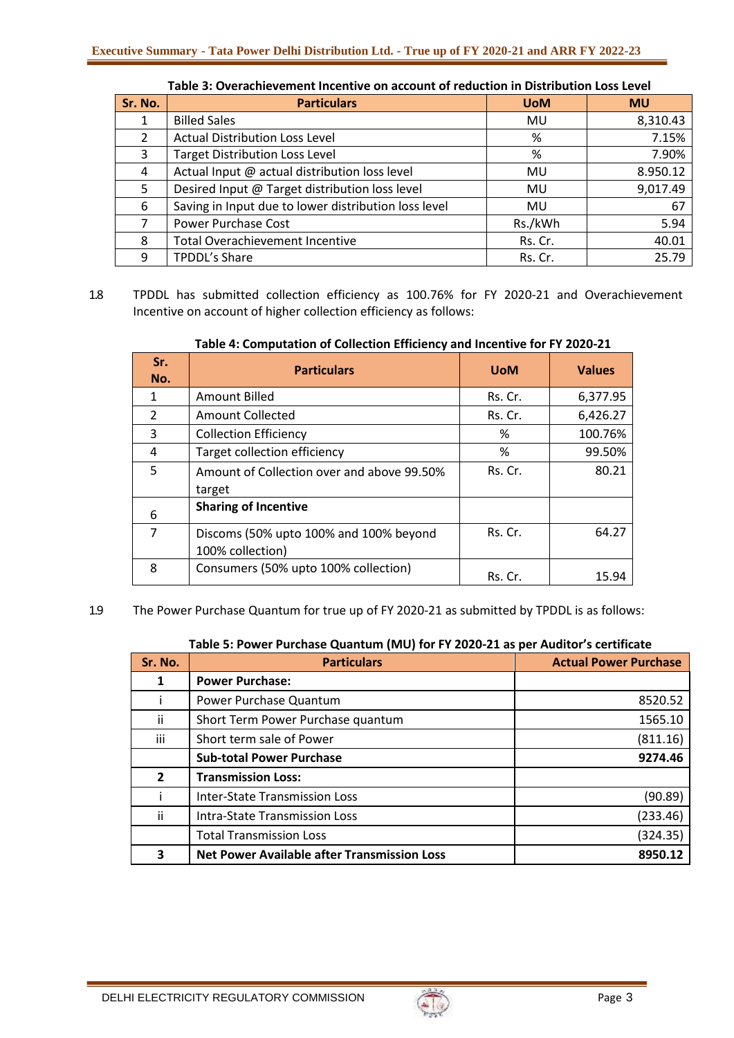| Sr. No. | <b>Particulars</b>                                   | <b>UoM</b> | <b>MU</b> |
|---------|------------------------------------------------------|------------|-----------|
|         | <b>Billed Sales</b>                                  | MU         | 8,310.43  |
| 2       | <b>Actual Distribution Loss Level</b>                | %          | 7.15%     |
| 3       | <b>Target Distribution Loss Level</b>                | %          | 7.90%     |
| 4       | Actual Input @ actual distribution loss level        | MU         | 8.950.12  |
| 5.      | Desired Input @ Target distribution loss level       | <b>MU</b>  | 9,017.49  |
| 6       | Saving in Input due to lower distribution loss level | MU         | 67        |
| 7       | <b>Power Purchase Cost</b>                           | Rs./kWh    | 5.94      |
| 8       | <b>Total Overachievement Incentive</b>               | Rs. Cr.    | 40.01     |
| 9       | TPDDL's Share                                        | Rs. Cr.    | 25.79     |

**Table 3: Overachievement Incentive on account of reduction in Distribution Loss Level**

1.8 TPDDL has submitted collection efficiency as 100.76% for FY 2020-21 and Overachievement Incentive on account of higher collection efficiency as follows:

| Sr.<br>No.     | <b>Particulars</b>                         | <b>UoM</b> | <b>Values</b> |
|----------------|--------------------------------------------|------------|---------------|
| 1              | <b>Amount Billed</b>                       | Rs. Cr.    | 6,377.95      |
| $\overline{2}$ | Amount Collected                           | Rs. Cr.    | 6,426.27      |
| 3              | <b>Collection Efficiency</b>               | ℅          | 100.76%       |
| 4              | Target collection efficiency               | %          | 99.50%        |
| 5              | Amount of Collection over and above 99.50% | Rs. Cr.    | 80.21         |
|                | target                                     |            |               |
| 6              | <b>Sharing of Incentive</b>                |            |               |
| 7              | Discoms (50% upto 100% and 100% beyond     | Rs. Cr.    | 64.27         |
|                | 100% collection)                           |            |               |
| 8              | Consumers (50% upto 100% collection)       | Rs. Cr.    | 15.94         |

**Table 4: Computation of Collection Efficiency and Incentive for FY 2020-21**

1.9 The Power Purchase Quantum for true up of FY 2020-21 as submitted by TPDDL is as follows:

| Sr. No.      | <b>Particulars</b>                                 | <b>Actual Power Purchase</b> |
|--------------|----------------------------------------------------|------------------------------|
|              | <b>Power Purchase:</b>                             |                              |
|              | Power Purchase Quantum                             | 8520.52                      |
| ii.          | Short Term Power Purchase quantum                  | 1565.10                      |
| iii          | Short term sale of Power                           | (811.16)                     |
|              | <b>Sub-total Power Purchase</b>                    | 9274.46                      |
| $\mathbf{2}$ | <b>Transmission Loss:</b>                          |                              |
|              | Inter-State Transmission Loss                      | (90.89)                      |
| ii           | Intra-State Transmission Loss                      | (233.46)                     |
|              | <b>Total Transmission Loss</b>                     | (324.35)                     |
| 3            | <b>Net Power Available after Transmission Loss</b> | 8950.12                      |

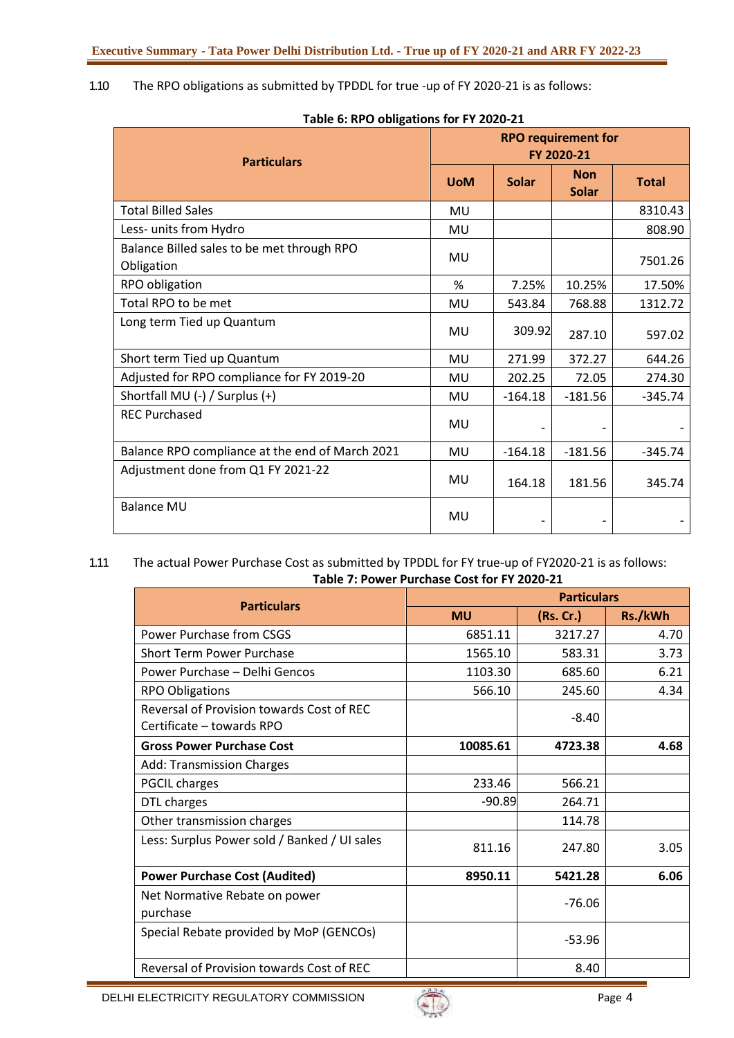## 1.10 The RPO obligations as submitted by TPDDL for true -up of FY 2020-21 is as follows:

|                                                          | <b>RPO requirement for</b><br>FY 2020-21 |              |                            |              |  |
|----------------------------------------------------------|------------------------------------------|--------------|----------------------------|--------------|--|
| <b>Particulars</b>                                       | <b>UoM</b>                               | <b>Solar</b> | <b>Non</b><br><b>Solar</b> | <b>Total</b> |  |
| <b>Total Billed Sales</b>                                | <b>MU</b>                                |              |                            | 8310.43      |  |
| Less- units from Hydro                                   | MU                                       |              |                            | 808.90       |  |
| Balance Billed sales to be met through RPO<br>Obligation | MU                                       |              |                            | 7501.26      |  |
| RPO obligation                                           | %                                        | 7.25%        | 10.25%                     | 17.50%       |  |
| Total RPO to be met                                      | MU                                       | 543.84       | 768.88                     | 1312.72      |  |
| Long term Tied up Quantum                                | MU                                       | 309.92       | 287.10                     | 597.02       |  |
| Short term Tied up Quantum                               | MU                                       | 271.99       | 372.27                     | 644.26       |  |
| Adjusted for RPO compliance for FY 2019-20               | MU                                       | 202.25       | 72.05                      | 274.30       |  |
| Shortfall MU (-) / Surplus (+)                           | MU                                       | $-164.18$    | $-181.56$                  | $-345.74$    |  |
| <b>REC Purchased</b>                                     | MU                                       |              |                            |              |  |
| Balance RPO compliance at the end of March 2021          | MU                                       | $-164.18$    | $-181.56$                  | $-345.74$    |  |
| Adjustment done from Q1 FY 2021-22                       | MU                                       | 164.18       | 181.56                     | 345.74       |  |
| <b>Balance MU</b>                                        | MU                                       |              |                            |              |  |

#### **Table 6: RPO obligations for FY 2020-21**

#### 1.11 The actual Power Purchase Cost as submitted by TPDDL for FY true-up of FY2020-21 is as follows: **Table 7: Power Purchase Cost for FY 2020-21**

| <b>Particulars</b>                                                     | <b>Particulars</b> |          |         |  |  |
|------------------------------------------------------------------------|--------------------|----------|---------|--|--|
|                                                                        | <b>MU</b>          | (Rs.Cr.) | Rs./kWh |  |  |
| Power Purchase from CSGS                                               | 6851.11            | 3217.27  | 4.70    |  |  |
| <b>Short Term Power Purchase</b>                                       | 1565.10            | 583.31   | 3.73    |  |  |
| Power Purchase - Delhi Gencos                                          | 1103.30            | 685.60   | 6.21    |  |  |
| <b>RPO Obligations</b>                                                 | 566.10             | 245.60   | 4.34    |  |  |
| Reversal of Provision towards Cost of REC<br>Certificate - towards RPO |                    | $-8.40$  |         |  |  |
| <b>Gross Power Purchase Cost</b>                                       | 10085.61           | 4723.38  | 4.68    |  |  |
| <b>Add: Transmission Charges</b>                                       |                    |          |         |  |  |
| <b>PGCIL charges</b>                                                   | 233.46             | 566.21   |         |  |  |
| DTL charges                                                            | $-90.89$           | 264.71   |         |  |  |
| Other transmission charges                                             |                    | 114.78   |         |  |  |
| Less: Surplus Power sold / Banked / UI sales                           | 811.16             | 247.80   | 3.05    |  |  |
| <b>Power Purchase Cost (Audited)</b>                                   | 8950.11            | 5421.28  | 6.06    |  |  |
| Net Normative Rebate on power<br>purchase                              |                    | $-76.06$ |         |  |  |
| Special Rebate provided by MoP (GENCOs)                                |                    | $-53.96$ |         |  |  |
| Reversal of Provision towards Cost of REC                              |                    | 8.40     |         |  |  |

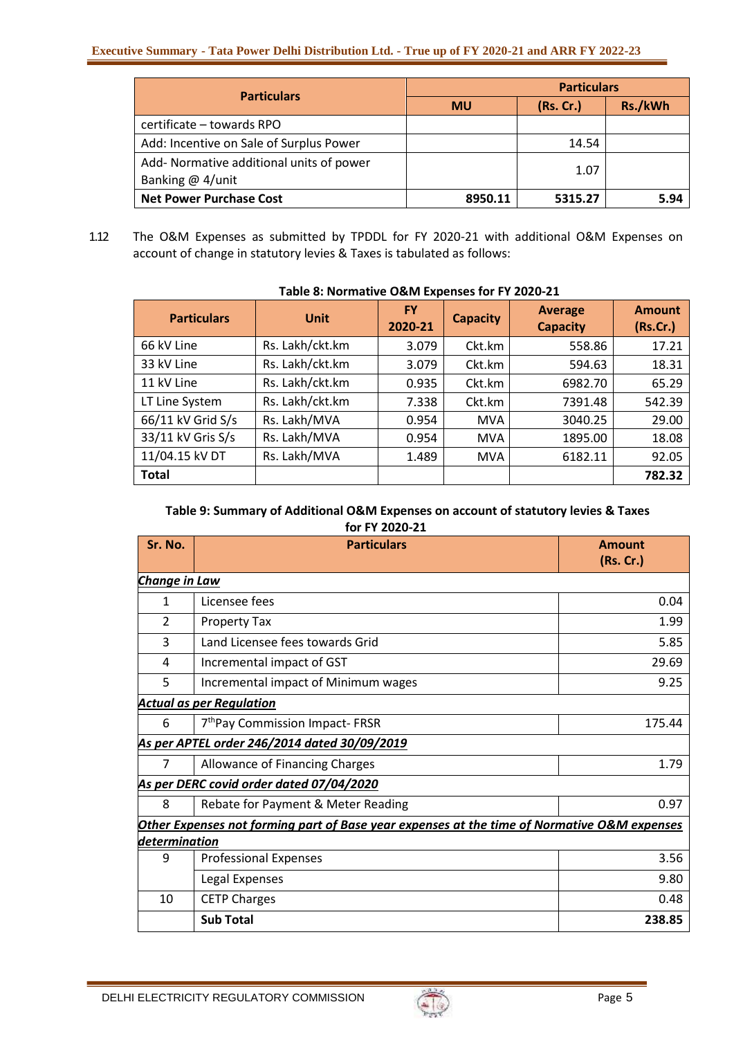#### **Executive Summary - Tata Power Delhi Distribution Ltd. - True up of FY 2020-21 and ARR FY 2022-23**

| <b>Particulars</b>                                             | <b>Particulars</b> |           |         |  |
|----------------------------------------------------------------|--------------------|-----------|---------|--|
|                                                                | <b>MU</b>          | (Rs. Cr.) | Rs./kWh |  |
| certificate – towards RPO                                      |                    |           |         |  |
| Add: Incentive on Sale of Surplus Power                        |                    | 14.54     |         |  |
| Add- Normative additional units of power<br>Banking $@$ 4/unit |                    | 1.07      |         |  |
| <b>Net Power Purchase Cost</b>                                 | 8950.11            | 5315.27   | 5.94    |  |

1.12 The O&M Expenses as submitted by TPDDL for FY 2020-21 with additional O&M Expenses on account of change in statutory levies & Taxes is tabulated as follows:

| <b>Particulars</b> | <b>Unit</b>     | <b>FY</b><br>2020-21 | <b>Capacity</b> | <b>Average</b><br><b>Capacity</b> | <b>Amount</b><br>(Rs.Cr.) |  |  |
|--------------------|-----------------|----------------------|-----------------|-----------------------------------|---------------------------|--|--|
| 66 kV Line         | Rs. Lakh/ckt.km | 3.079                | Ckt.km          | 558.86                            | 17.21                     |  |  |
| 33 kV Line         | Rs. Lakh/ckt.km | 3.079                | Ckt.km          | 594.63                            | 18.31                     |  |  |
| 11 kV Line         | Rs. Lakh/ckt.km | 0.935                | Ckt.km          | 6982.70                           | 65.29                     |  |  |
| LT Line System     | Rs. Lakh/ckt.km | 7.338                | Ckt.km          | 7391.48                           | 542.39                    |  |  |
| 66/11 kV Grid S/s  | Rs. Lakh/MVA    | 0.954                | <b>MVA</b>      | 3040.25                           | 29.00                     |  |  |
| 33/11 kV Gris S/s  | Rs. Lakh/MVA    | 0.954                | <b>MVA</b>      | 1895.00                           | 18.08                     |  |  |
| 11/04.15 kV DT     | Rs. Lakh/MVA    | 1.489                | <b>MVA</b>      | 6182.11                           | 92.05                     |  |  |
| <b>Total</b>       |                 |                      |                 |                                   | 782.32                    |  |  |

## **Table 8: Normative O&M Expenses for FY 2020-21**

#### **Table 9: Summary of Additional O&M Expenses on account of statutory levies & Taxes for FY 2020-21**

| Sr. No.       | <b>Particulars</b>                                                                          | <b>Amount</b><br>(Rs. Cr.) |
|---------------|---------------------------------------------------------------------------------------------|----------------------------|
| Change in Law |                                                                                             |                            |
| 1             | Licensee fees                                                                               | 0.04                       |
| 2             | <b>Property Tax</b>                                                                         | 1.99                       |
| 3             | Land Licensee fees towards Grid                                                             | 5.85                       |
| 4             | Incremental impact of GST                                                                   | 29.69                      |
| 5             | Incremental impact of Minimum wages                                                         | 9.25                       |
|               | <b>Actual as per Regulation</b>                                                             |                            |
| 6             | 7 <sup>th</sup> Pay Commission Impact-FRSR                                                  | 175.44                     |
|               | As per APTEL order 246/2014 dated 30/09/2019                                                |                            |
| 7             | Allowance of Financing Charges                                                              | 1.79                       |
|               | As per DERC covid order dated 07/04/2020                                                    |                            |
| 8             | Rebate for Payment & Meter Reading                                                          | 0.97                       |
|               | Other Expenses not forming part of Base year expenses at the time of Normative O&M expenses |                            |
| determination |                                                                                             |                            |
| 9             | <b>Professional Expenses</b>                                                                | 3.56                       |
|               | Legal Expenses                                                                              | 9.80                       |
| 10            | <b>CETP Charges</b>                                                                         | 0.48                       |
|               | <b>Sub Total</b>                                                                            | 238.85                     |

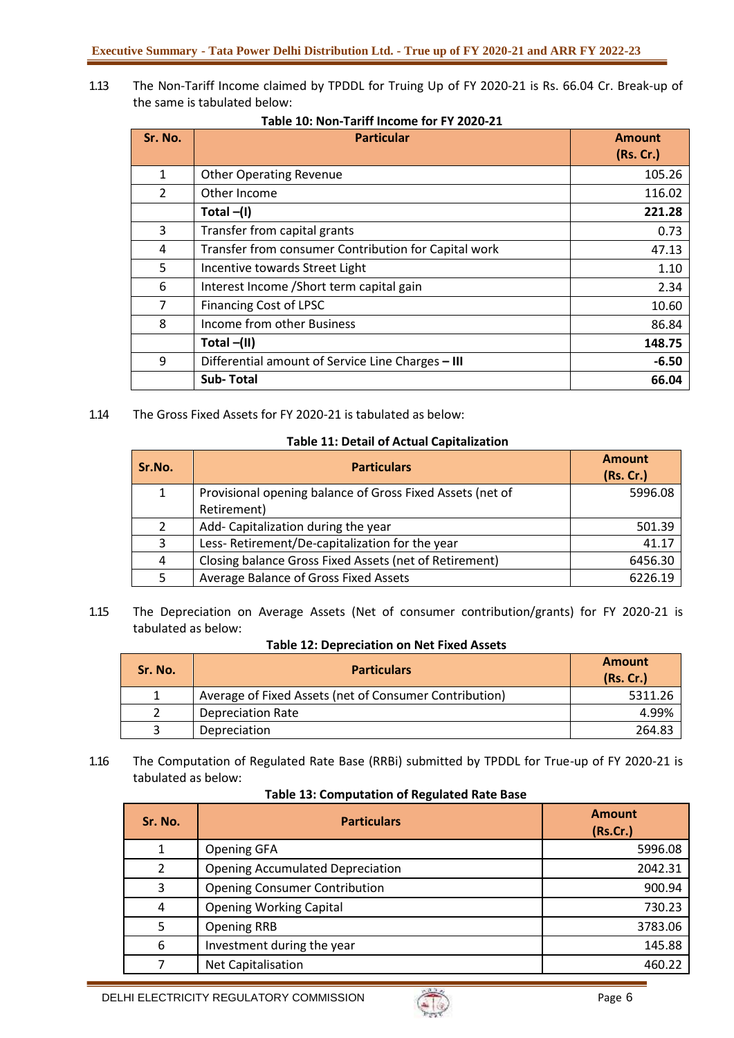1.13 The Non-Tariff Income claimed by TPDDL for Truing Up of FY 2020-21 is Rs. 66.04 Cr. Break-up of the same is tabulated below:

| Sr. No.        | <b>Particular</b>                                    | <b>Amount</b><br>(Rs. Cr.) |
|----------------|------------------------------------------------------|----------------------------|
| 1              | <b>Other Operating Revenue</b>                       | 105.26                     |
| $\overline{2}$ | Other Income                                         | 116.02                     |
|                | Total $-(I)$                                         | 221.28                     |
| 3              | Transfer from capital grants                         | 0.73                       |
| 4              | Transfer from consumer Contribution for Capital work | 47.13                      |
| 5              | Incentive towards Street Light                       | 1.10                       |
| 6              | Interest Income / Short term capital gain            | 2.34                       |
| 7              | <b>Financing Cost of LPSC</b>                        | 10.60                      |
| 8              | Income from other Business                           | 86.84                      |
|                | Total $-(II)$                                        | 148.75                     |
| 9              | Differential amount of Service Line Charges - III    | $-6.50$                    |
|                | <b>Sub-Total</b>                                     | 66.04                      |

**Table 10: Non-Tariff Income for FY 2020-21**

1.14 The Gross Fixed Assets for FY 2020-21 is tabulated as below:

#### **Table 11: Detail of Actual Capitalization**

| Sr.No.       | <b>Particulars</b>                                        | <b>Amount</b><br>(Rs. Cr.) |  |
|--------------|-----------------------------------------------------------|----------------------------|--|
| $\mathbf{1}$ | Provisional opening balance of Gross Fixed Assets (net of | 5996.08                    |  |
|              | Retirement)                                               |                            |  |
| 2            | Add- Capitalization during the year                       | 501.39                     |  |
| 3            | Less-Retirement/De-capitalization for the year            | 41.17                      |  |
| 4            | Closing balance Gross Fixed Assets (net of Retirement)    | 6456.30                    |  |
| 5.           | Average Balance of Gross Fixed Assets                     | 6226.19                    |  |

1.15 The Depreciation on Average Assets (Net of consumer contribution/grants) for FY 2020-21 is tabulated as below:

**Table 12: Depreciation on Net Fixed Assets**

| Sr. No. | <b>Particulars</b>                                     | <b>Amount</b><br>(Rs.Cr.) |
|---------|--------------------------------------------------------|---------------------------|
|         | Average of Fixed Assets (net of Consumer Contribution) | 5311.26                   |
|         | <b>Depreciation Rate</b>                               | 4.99%                     |
|         | <b>Depreciation</b>                                    | 264.83                    |

1.16 The Computation of Regulated Rate Base (RRBi) submitted by TPDDL for True-up of FY 2020-21 is tabulated as below:

#### **Table 13: Computation of Regulated Rate Base**

| Sr. No. | <b>Particulars</b>                      | <b>Amount</b><br>(Rs.Cr.) |
|---------|-----------------------------------------|---------------------------|
|         | <b>Opening GFA</b>                      | 5996.08                   |
| 2       | <b>Opening Accumulated Depreciation</b> | 2042.31                   |
| 3       | <b>Opening Consumer Contribution</b>    | 900.94                    |
| 4       | <b>Opening Working Capital</b>          | 730.23                    |
| 5       | <b>Opening RRB</b>                      | 3783.06                   |
| 6       | Investment during the year              | 145.88                    |
|         | Net Capitalisation                      | 460.22                    |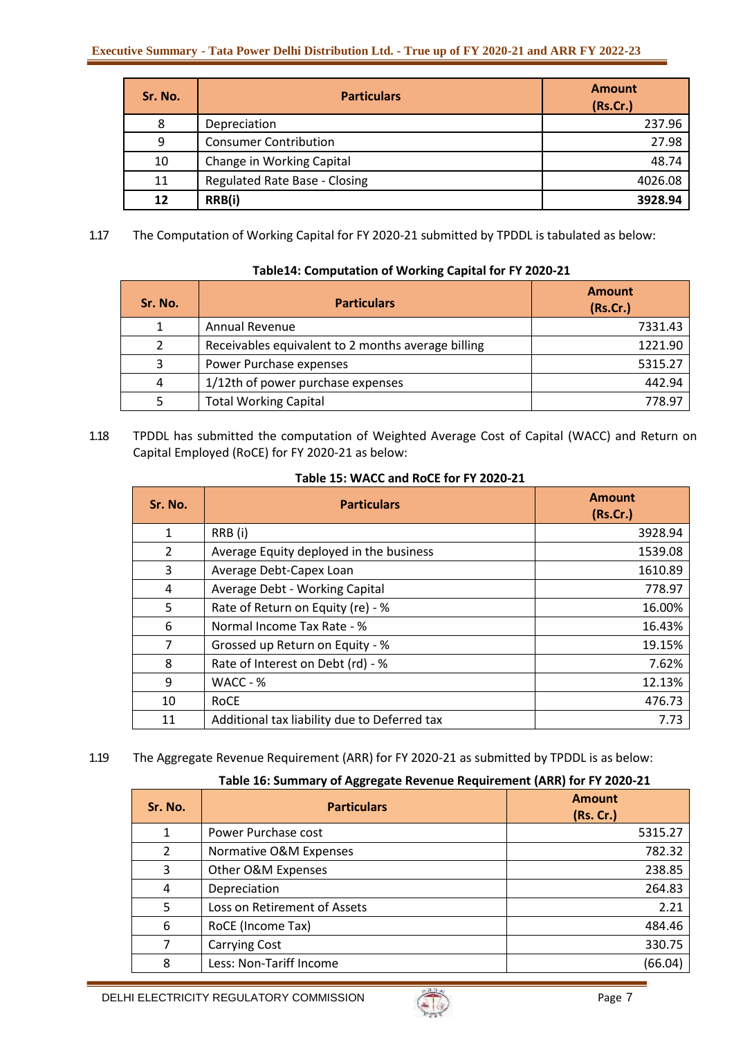| Sr. No.         | <b>Particulars</b>            | <b>Amount</b><br>(Rs.Cr.) |
|-----------------|-------------------------------|---------------------------|
| 8               | Depreciation                  | 237.96                    |
| 9               | <b>Consumer Contribution</b>  | 27.98                     |
| 10              | Change in Working Capital     | 48.74                     |
| 11              | Regulated Rate Base - Closing | 4026.08                   |
| $12 \ \mathrm{$ | RRB(i)                        | 3928.94                   |

1.17 The Computation of Working Capital for FY 2020-21 submitted by TPDDL is tabulated as below:

| Sr. No. | <b>Particulars</b>                                 | <b>Amount</b><br>(Rs.Cr.) |
|---------|----------------------------------------------------|---------------------------|
|         | <b>Annual Revenue</b>                              | 7331.43                   |
|         | Receivables equivalent to 2 months average billing | 1221.90                   |
| ર       | Power Purchase expenses                            | 5315.27                   |
| 4       | 1/12th of power purchase expenses                  | 442.94                    |
|         | <b>Total Working Capital</b>                       | 778.97                    |

# **Table14: Computation of Working Capital for FY 2020-21**

1.18 TPDDL has submitted the computation of Weighted Average Cost of Capital (WACC) and Return on Capital Employed (RoCE) for FY 2020-21 as below:

| Sr. No.        | <b>Particulars</b>                           | <b>Amount</b><br>(Rs.Cr.) |
|----------------|----------------------------------------------|---------------------------|
| 1              | RRB (i)                                      | 3928.94                   |
| $\overline{2}$ | Average Equity deployed in the business      | 1539.08                   |
| 3              | Average Debt-Capex Loan                      | 1610.89                   |
| 4              | Average Debt - Working Capital               | 778.97                    |
| 5              | Rate of Return on Equity (re) - %            | 16.00%                    |
| 6              | Normal Income Tax Rate - %                   | 16.43%                    |
| 7              | Grossed up Return on Equity - %              | 19.15%                    |
| 8              | Rate of Interest on Debt (rd) - %            | 7.62%                     |
| 9              | WACC - %                                     | 12.13%                    |
| 10             | RoCE                                         | 476.73                    |
| 11             | Additional tax liability due to Deferred tax | 7.73                      |

## **Table 15: WACC and RoCE for FY 2020-21**

## 1.19 The Aggregate Revenue Requirement (ARR) for FY 2020-21 as submitted by TPDDL is as below:

## **Table 16: Summary of Aggregate Revenue Requirement (ARR) for FY 2020-21**

| Sr. No.        | <b>Particulars</b>           | <b>Amount</b><br>(Rs. Cr.) |
|----------------|------------------------------|----------------------------|
| 1              | Power Purchase cost          | 5315.27                    |
| 2              | Normative O&M Expenses       | 782.32                     |
| 3              | Other O&M Expenses           | 238.85                     |
| $\overline{4}$ | Depreciation                 | 264.83                     |
| 5              | Loss on Retirement of Assets | 2.21                       |
| 6              | RoCE (Income Tax)            | 484.46                     |
| 7              | <b>Carrying Cost</b>         | 330.75                     |
| 8              | Less: Non-Tariff Income      | (66.04)                    |

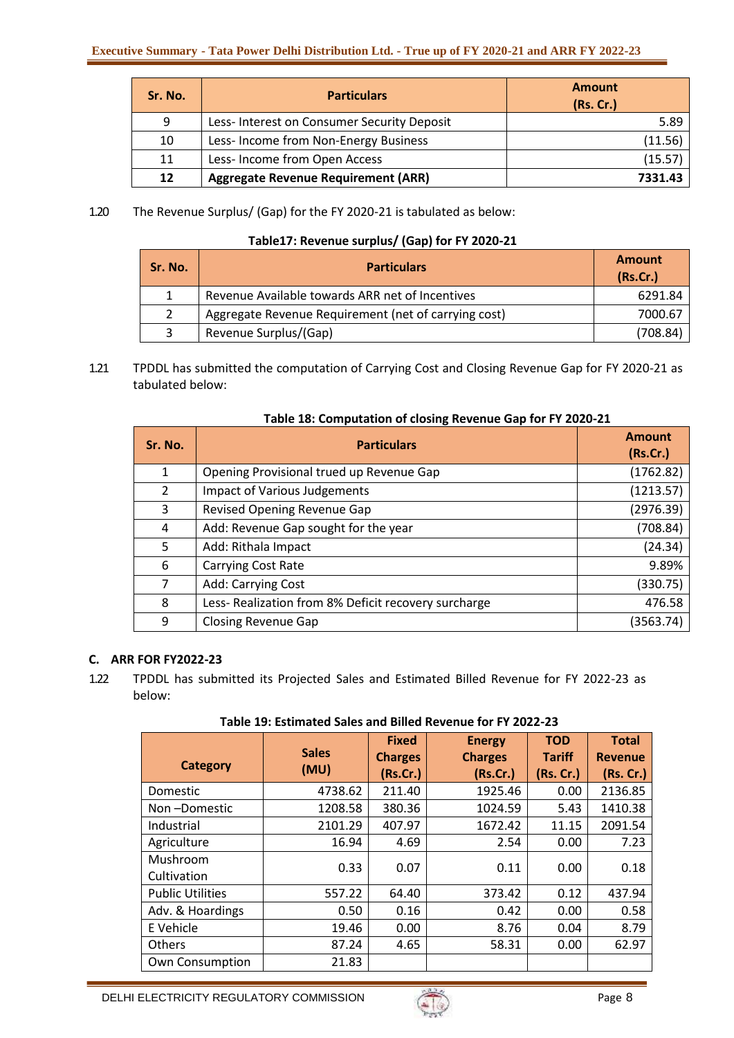| Sr. No. | <b>Particulars</b>                         | <b>Amount</b><br>(Rs.Cr.) |
|---------|--------------------------------------------|---------------------------|
| q       | Less-Interest on Consumer Security Deposit | 5.89                      |
| 10      | Less-Income from Non-Energy Business       | (11.56)                   |
| 11      | Less- Income from Open Access              | (15.57)                   |
| 12      | <b>Aggregate Revenue Requirement (ARR)</b> | 7331.43                   |

1.20 The Revenue Surplus/ (Gap) for the FY 2020-21 is tabulated as below:

## **Table17: Revenue surplus/ (Gap) for FY 2020-21**

| Sr. No. | <b>Particulars</b>                                   | <b>Amount</b><br>(Rs.Cr.) |
|---------|------------------------------------------------------|---------------------------|
|         | Revenue Available towards ARR net of Incentives      | 6291.84                   |
|         | Aggregate Revenue Requirement (net of carrying cost) | 7000.67                   |
|         | Revenue Surplus/(Gap)                                | (708.84)                  |

1.21 TPDDL has submitted the computation of Carrying Cost and Closing Revenue Gap for FY 2020-21 as tabulated below:

| Sr. No. | <b>Particulars</b>                                   | <b>Amount</b><br>(Rs.Cr.) |  |
|---------|------------------------------------------------------|---------------------------|--|
| 1       | Opening Provisional trued up Revenue Gap             | (1762.82)                 |  |
| 2       | Impact of Various Judgements                         | (1213.57)                 |  |
| 3       | Revised Opening Revenue Gap                          | (2976.39)                 |  |
| 4       | Add: Revenue Gap sought for the year                 | (708.84)                  |  |
| 5       | Add: Rithala Impact                                  | (24.34)                   |  |
| 6       | Carrying Cost Rate                                   | 9.89%                     |  |
| 7       | Add: Carrying Cost                                   | (330.75)                  |  |
| 8       | Less- Realization from 8% Deficit recovery surcharge | 476.58                    |  |
| 9       | <b>Closing Revenue Gap</b>                           | (3563.74)                 |  |

## **Table 18: Computation of closing Revenue Gap for FY 2020-21**

## **C. ARR FOR FY2022-23**

1.22 TPDDL has submitted its Projected Sales and Estimated Billed Revenue for FY 2022-23 as below:

## **Table 19: Estimated Sales and Billed Revenue for FY 2022-23**

| Category                | <b>Sales</b><br>(MU) | <b>Fixed</b><br><b>Charges</b><br>(Rs.Cr.) | <b>Energy</b><br><b>Charges</b><br>(Rs.Cr.) | <b>TOD</b><br><b>Tariff</b><br>(Rs. Cr.) | <b>Total</b><br><b>Revenue</b><br>(Rs. Cr.) |
|-------------------------|----------------------|--------------------------------------------|---------------------------------------------|------------------------------------------|---------------------------------------------|
| Domestic                | 4738.62              | 211.40                                     | 1925.46                                     | 0.00                                     | 2136.85                                     |
| Non-Domestic            | 1208.58              | 380.36                                     | 1024.59                                     | 5.43                                     | 1410.38                                     |
| Industrial              | 2101.29              | 407.97                                     | 1672.42                                     | 11.15                                    | 2091.54                                     |
| Agriculture             | 16.94                | 4.69                                       | 2.54                                        | 0.00                                     | 7.23                                        |
| Mushroom<br>Cultivation | 0.33                 | 0.07                                       | 0.11                                        | 0.00                                     | 0.18                                        |
| <b>Public Utilities</b> | 557.22               | 64.40                                      | 373.42                                      | 0.12                                     | 437.94                                      |
| Adv. & Hoardings        | 0.50                 | 0.16                                       | 0.42                                        | 0.00                                     | 0.58                                        |
| E Vehicle               | 19.46                | 0.00                                       | 8.76                                        | 0.04                                     | 8.79                                        |
| <b>Others</b>           | 87.24                | 4.65                                       | 58.31                                       | 0.00                                     | 62.97                                       |
| <b>Own Consumption</b>  | 21.83                |                                            |                                             |                                          |                                             |

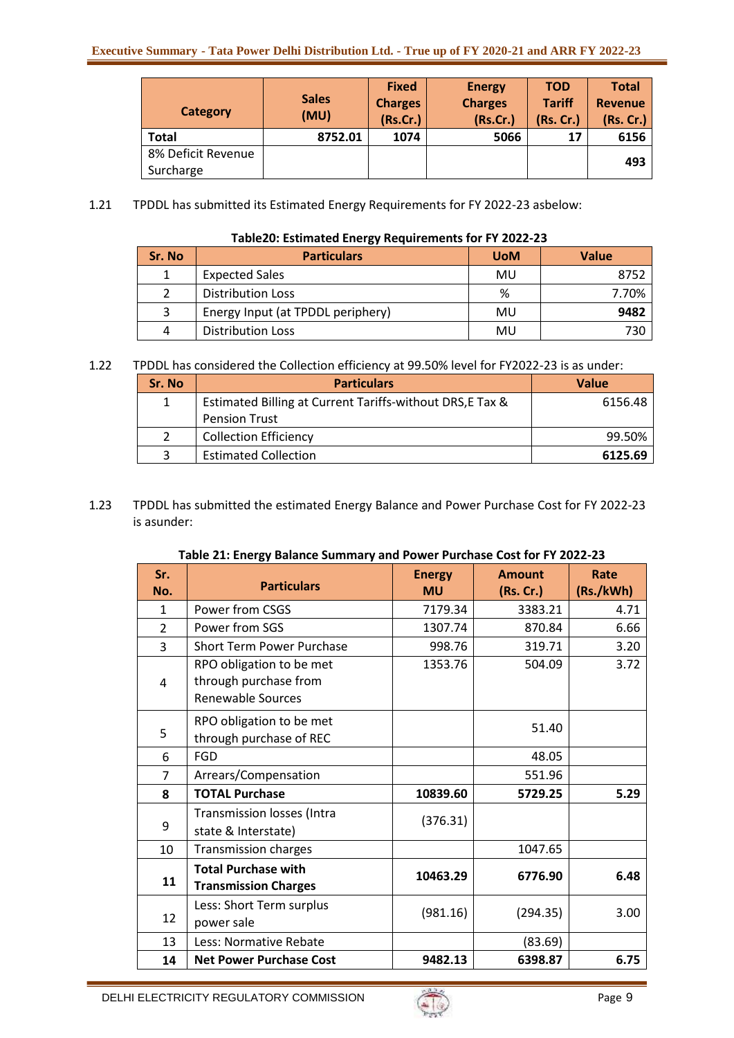| Category           | <b>Sales</b><br>(MU) | <b>Fixed</b><br><b>Charges</b><br>(Rs.Cr.) | <b>Energy</b><br><b>Charges</b><br>(Rs.Cr.) | <b>TOD</b><br><b>Tariff</b><br>(Rs. Cr.) | <b>Total</b><br><b>Revenue</b><br>(Rs. Cr.) |
|--------------------|----------------------|--------------------------------------------|---------------------------------------------|------------------------------------------|---------------------------------------------|
| <b>Total</b>       | 8752.01              | 1074                                       | 5066                                        | 17                                       | 6156                                        |
| 8% Deficit Revenue |                      |                                            |                                             |                                          | 493                                         |
| Surcharge          |                      |                                            |                                             |                                          |                                             |

1.21 TPDDL has submitted its Estimated Energy Requirements for FY 2022-23 asbelow:

| Sr. No | <b>Particulars</b>                | <b>UoM</b> | <b>Value</b> |
|--------|-----------------------------------|------------|--------------|
|        | <b>Expected Sales</b>             | MU         | 8752         |
|        | <b>Distribution Loss</b>          | %          | 7.70%        |
|        | Energy Input (at TPDDL periphery) | MU         | 9482         |
| 4      | <b>Distribution Loss</b>          | MU         | 730          |

## 1.22 TPDDL has considered the Collection efficiency at 99.50% level for FY2022-23 is as under:

| Sr. No | <b>Particulars</b>                                        | <b>Value</b> |
|--------|-----------------------------------------------------------|--------------|
|        | Estimated Billing at Current Tariffs-without DRS, E Tax & | 6156.48      |
|        | <b>Pension Trust</b>                                      |              |
|        | <b>Collection Efficiency</b>                              | 99.50%       |
|        | <b>Estimated Collection</b>                               | 6125.69      |

1.23 TPDDL has submitted the estimated Energy Balance and Power Purchase Cost for FY 2022-23 is asunder:

| Table 21: Energy Balance Summary and Power Purchase Cost for FY 2022-23 |
|-------------------------------------------------------------------------|
|-------------------------------------------------------------------------|

| Sr.            |                                  | <b>Energy</b> | <b>Amount</b> | Rate      |
|----------------|----------------------------------|---------------|---------------|-----------|
| No.            | <b>Particulars</b>               | <b>MU</b>     | (Rs. Cr.)     | (Rs./kWh) |
| 1              | Power from CSGS                  | 7179.34       | 3383.21       | 4.71      |
| $\overline{2}$ | Power from SGS                   | 1307.74       | 870.84        | 6.66      |
| 3              | <b>Short Term Power Purchase</b> | 998.76        | 319.71        | 3.20      |
|                | RPO obligation to be met         | 1353.76       | 504.09        | 3.72      |
| 4              | through purchase from            |               |               |           |
|                | Renewable Sources                |               |               |           |
|                | RPO obligation to be met         |               | 51.40         |           |
| 5              | through purchase of REC          |               |               |           |
| 6              | <b>FGD</b>                       |               | 48.05         |           |
| 7              | Arrears/Compensation             |               | 551.96        |           |
| 8              | <b>TOTAL Purchase</b>            | 10839.60      | 5729.25       | 5.29      |
|                | Transmission losses (Intra       | (376.31)      |               |           |
| 9              | state & Interstate)              |               |               |           |
| 10             | <b>Transmission charges</b>      |               | 1047.65       |           |
|                | <b>Total Purchase with</b>       | 10463.29      | 6776.90       | 6.48      |
| 11             | <b>Transmission Charges</b>      |               |               |           |
|                | Less: Short Term surplus         | (981.16)      | (294.35)      | 3.00      |
| 12             | power sale                       |               |               |           |
| 13             | Less: Normative Rebate           |               | (83.69)       |           |
| 14             | <b>Net Power Purchase Cost</b>   | 9482.13       | 6398.87       | 6.75      |

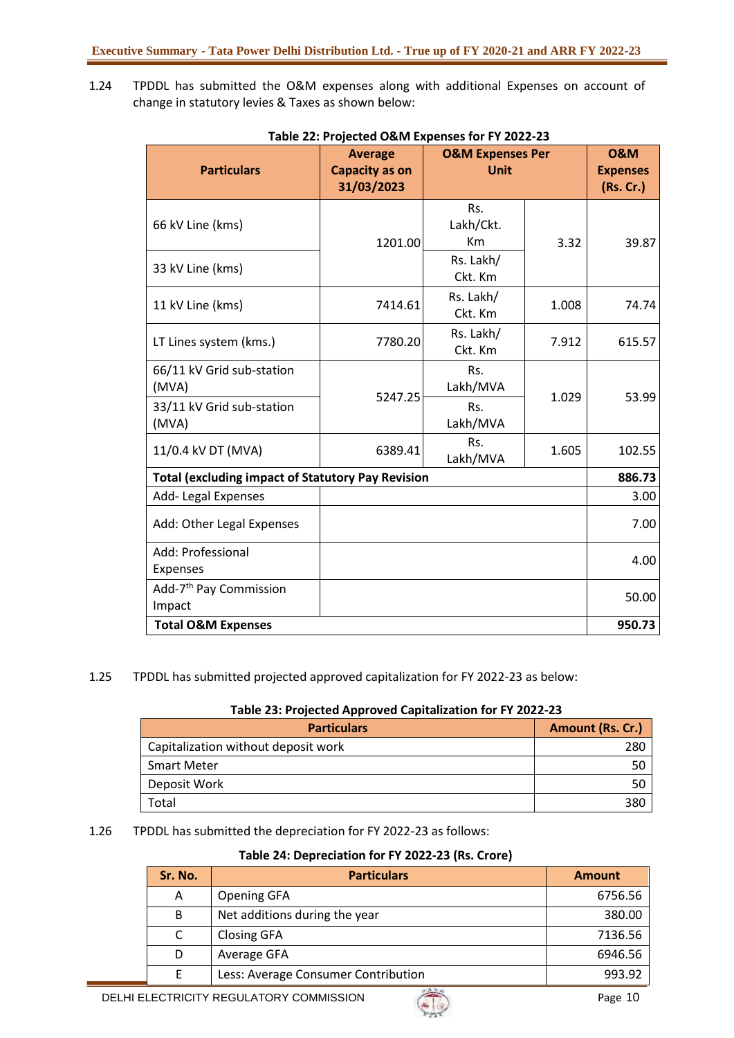1.24 TPDDL has submitted the O&M expenses along with additional Expenses on account of change in statutory levies & Taxes as shown below:

| <b>Particulars</b>                                       | <b>Average</b><br><b>Capacity as on</b><br>31/03/2023 | <b>O&amp;M Expenses Per</b><br><b>Unit</b> |        | <b>0&amp;M</b><br><b>Expenses</b><br>(Rs. Cr.) |
|----------------------------------------------------------|-------------------------------------------------------|--------------------------------------------|--------|------------------------------------------------|
| 66 kV Line (kms)                                         | 1201.00                                               | Rs.<br>Lakh/Ckt.<br>Km                     | 3.32   | 39.87                                          |
| 33 kV Line (kms)                                         |                                                       | Rs. Lakh/<br>Ckt. Km                       |        |                                                |
| 11 kV Line (kms)                                         | 7414.61                                               | Rs. Lakh/<br>Ckt. Km                       | 1.008  | 74.74                                          |
| LT Lines system (kms.)                                   | 7780.20                                               | Rs. Lakh/<br>Ckt. Km                       | 7.912  | 615.57                                         |
| 66/11 kV Grid sub-station<br>(MVA)                       | 5247.25                                               | Rs.<br>Lakh/MVA                            | 1.029  | 53.99                                          |
| 33/11 kV Grid sub-station<br>(MVA)                       |                                                       | Rs.<br>Lakh/MVA                            |        |                                                |
| 11/0.4 kV DT (MVA)                                       | 6389.41                                               | Rs.<br>Lakh/MVA                            | 1.605  | 102.55                                         |
| <b>Total (excluding impact of Statutory Pay Revision</b> |                                                       |                                            |        | 886.73                                         |
| Add-Legal Expenses                                       |                                                       |                                            |        | 3.00                                           |
| Add: Other Legal Expenses                                |                                                       |                                            | 7.00   |                                                |
| Add: Professional<br>Expenses                            |                                                       |                                            |        | 4.00                                           |
| Add-7 <sup>th</sup> Pay Commission<br>Impact             |                                                       |                                            |        | 50.00                                          |
| <b>Total O&amp;M Expenses</b>                            |                                                       |                                            | 950.73 |                                                |

#### **Table 22: Projected O&M Expenses for FY 2022-23**

#### 1.25 TPDDL has submitted projected approved capitalization for FY 2022-23 as below:

## **Table 23: Projected Approved Capitalization for FY 2022-23**

| <b>Particulars</b>                  | Amount (Rs. Cr.) |
|-------------------------------------|------------------|
| Capitalization without deposit work | 280              |
| <b>Smart Meter</b>                  |                  |
| Deposit Work                        | 50               |
| Total                               | 380              |

#### 1.26 TPDDL has submitted the depreciation for FY 2022-23 as follows:

#### **Table 24: Depreciation for FY 2022-23 (Rs. Crore)**

| Sr. No. | <b>Particulars</b>                  | <b>Amount</b> |
|---------|-------------------------------------|---------------|
| Α       | <b>Opening GFA</b>                  | 6756.56       |
| B       | Net additions during the year       | 380.00        |
|         | <b>Closing GFA</b>                  | 7136.56       |
|         | Average GFA                         | 6946.56       |
|         | Less: Average Consumer Contribution | 993.92        |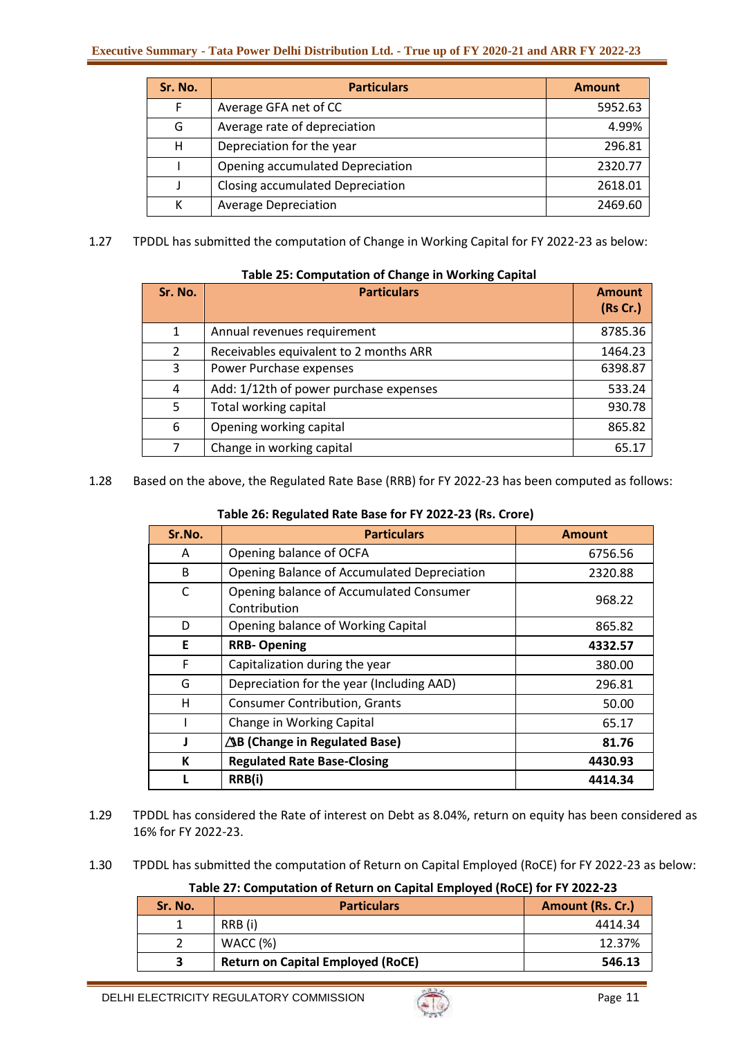| Sr. No. | <b>Particulars</b>                      | <b>Amount</b> |
|---------|-----------------------------------------|---------------|
| F       | Average GFA net of CC                   | 5952.63       |
| G       | Average rate of depreciation            | 4.99%         |
| н       | Depreciation for the year               | 296.81        |
|         | Opening accumulated Depreciation        | 2320.77       |
|         | <b>Closing accumulated Depreciation</b> | 2618.01       |
| К       | <b>Average Depreciation</b>             | 2469.60       |

1.27 TPDDL has submitted the computation of Change in Working Capital for FY 2022-23 as below:

| Sr. No. | <b>Particulars</b>                     | <b>Amount</b><br>(Rs Cr.) |
|---------|----------------------------------------|---------------------------|
| 1       | Annual revenues requirement            | 8785.36                   |
| 2       | Receivables equivalent to 2 months ARR | 1464.23                   |
| 3       | Power Purchase expenses                | 6398.87                   |
| 4       | Add: 1/12th of power purchase expenses | 533.24                    |
| 5       | Total working capital                  | 930.78                    |
| 6       | Opening working capital                | 865.82                    |
| 7       | Change in working capital              | 65.17                     |

# **Table 25: Computation of Change in Working Capital**

1.28 Based on the above, the Regulated Rate Base (RRB) for FY 2022-23 has been computed as follows:

## **Table 26: Regulated Rate Base for FY 2022-23 (Rs. Crore)**

| Sr.No. | <b>Particulars</b>                                      | <b>Amount</b> |
|--------|---------------------------------------------------------|---------------|
| A      | Opening balance of OCFA                                 | 6756.56       |
| B      | Opening Balance of Accumulated Depreciation             | 2320.88       |
| C      | Opening balance of Accumulated Consumer<br>Contribution | 968.22        |
| D      | Opening balance of Working Capital                      | 865.82        |
| E      | <b>RRB-Opening</b>                                      | 4332.57       |
| F      | Capitalization during the year                          | 380.00        |
| G      | Depreciation for the year (Including AAD)               | 296.81        |
| н      | <b>Consumer Contribution, Grants</b>                    | 50.00         |
|        | Change in Working Capital                               | 65.17         |
|        | $\Delta$ B (Change in Regulated Base)                   | 81.76         |
| K      | <b>Regulated Rate Base-Closing</b>                      | 4430.93       |
|        | RRB(i)                                                  | 4414.34       |

- 1.29 TPDDL has considered the Rate of interest on Debt as 8.04%, return on equity has been considered as 16% for FY 2022-23.
- 1.30 TPDDL has submitted the computation of Return on Capital Employed (RoCE) for FY 2022-23 as below:

**Table 27: Computation of Return on Capital Employed (RoCE) for FY 2022-23**

| Sr. No. | <b>Particulars</b>                       | Amount (Rs. Cr.) |
|---------|------------------------------------------|------------------|
|         | RRB (i)                                  | 4414.34          |
|         | WACC $(%)$                               | 12.37%           |
|         | <b>Return on Capital Employed (RoCE)</b> | 546.13           |

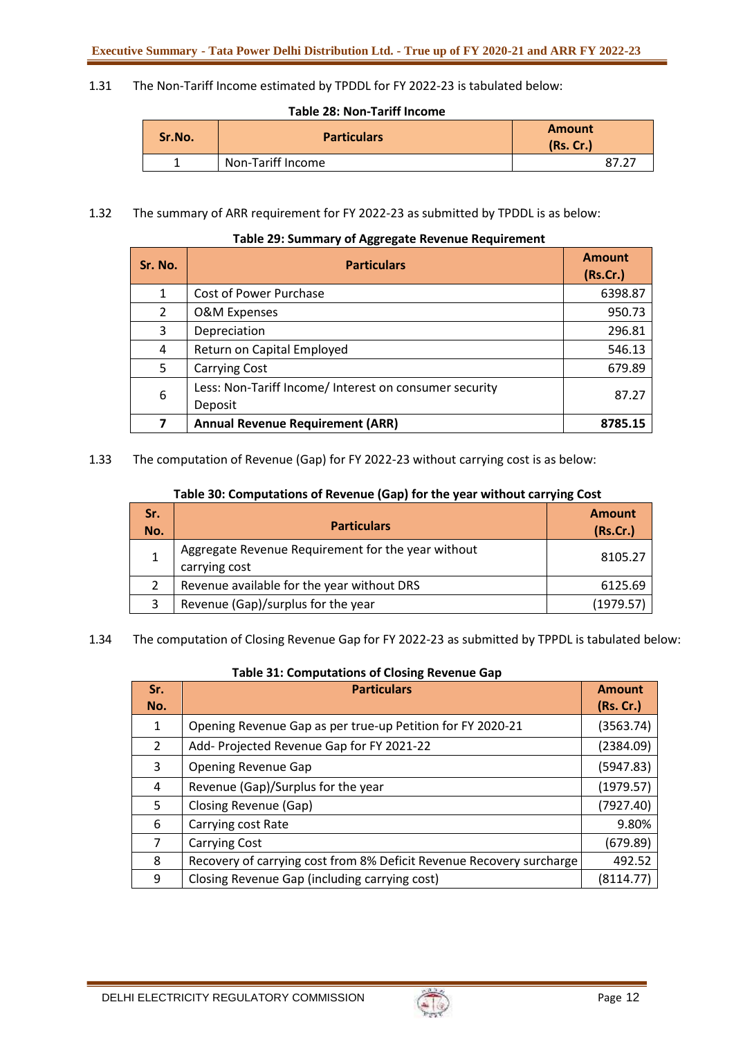1.31 The Non-Tariff Income estimated by TPDDL for FY 2022-23 is tabulated below:

**Table 28: Non-Tariff Income**

| Sr.No. | <b>Particulars</b> | <b>Amount</b><br>(Rs.Cr.) |  |
|--------|--------------------|---------------------------|--|
|        | Non-Tariff Income  |                           |  |

1.32 The summary of ARR requirement for FY 2022-23 as submitted by TPDDL is as below:

| Sr. No.        | <b>Particulars</b>                                                | <b>Amount</b><br>(Rs.Cr.) |
|----------------|-------------------------------------------------------------------|---------------------------|
| $\mathbf{1}$   | Cost of Power Purchase                                            | 6398.87                   |
| $\overline{2}$ | <b>O&amp;M Expenses</b>                                           | 950.73                    |
| 3              | Depreciation                                                      | 296.81                    |
| 4              | Return on Capital Employed                                        | 546.13                    |
| 5              | <b>Carrying Cost</b>                                              | 679.89                    |
| 6              | Less: Non-Tariff Income/ Interest on consumer security<br>Deposit | 87.27                     |
| 7              | <b>Annual Revenue Requirement (ARR)</b>                           | 8785.15                   |

# **Table 29: Summary of Aggregate Revenue Requirement**

1.33 The computation of Revenue (Gap) for FY 2022-23 without carrying cost is as below:

| Sr.<br>No. | <b>Particulars</b>                                                  | <b>Amount</b><br>(Rs.Cr.) |
|------------|---------------------------------------------------------------------|---------------------------|
|            | Aggregate Revenue Requirement for the year without<br>carrying cost | 8105.27                   |
|            | Revenue available for the year without DRS                          | 6125.69                   |
|            | Revenue (Gap)/surplus for the year                                  | (1979.57)                 |

1.34 The computation of Closing Revenue Gap for FY 2022-23 as submitted by TPPDL is tabulated below:

| Sr.<br>No. | <b>Particulars</b>                                                   | <b>Amount</b><br>(Rs. Cr.) |
|------------|----------------------------------------------------------------------|----------------------------|
| 1          | Opening Revenue Gap as per true-up Petition for FY 2020-21           | (3563.74)                  |
| 2          | Add- Projected Revenue Gap for FY 2021-22                            | (2384.09)                  |
| 3          | <b>Opening Revenue Gap</b>                                           | (5947.83)                  |
| 4          | Revenue (Gap)/Surplus for the year                                   | (1979.57)                  |
| 5          | Closing Revenue (Gap)                                                | (7927.40)                  |
| 6          | Carrying cost Rate                                                   | 9.80%                      |
| 7          | <b>Carrying Cost</b>                                                 | (679.89)                   |
| 8          | Recovery of carrying cost from 8% Deficit Revenue Recovery surcharge | 492.52                     |
| 9          | Closing Revenue Gap (including carrying cost)                        | (8114.77)                  |

| Table 31: Computations of Closing Revenue Gap |  |  |
|-----------------------------------------------|--|--|
|-----------------------------------------------|--|--|